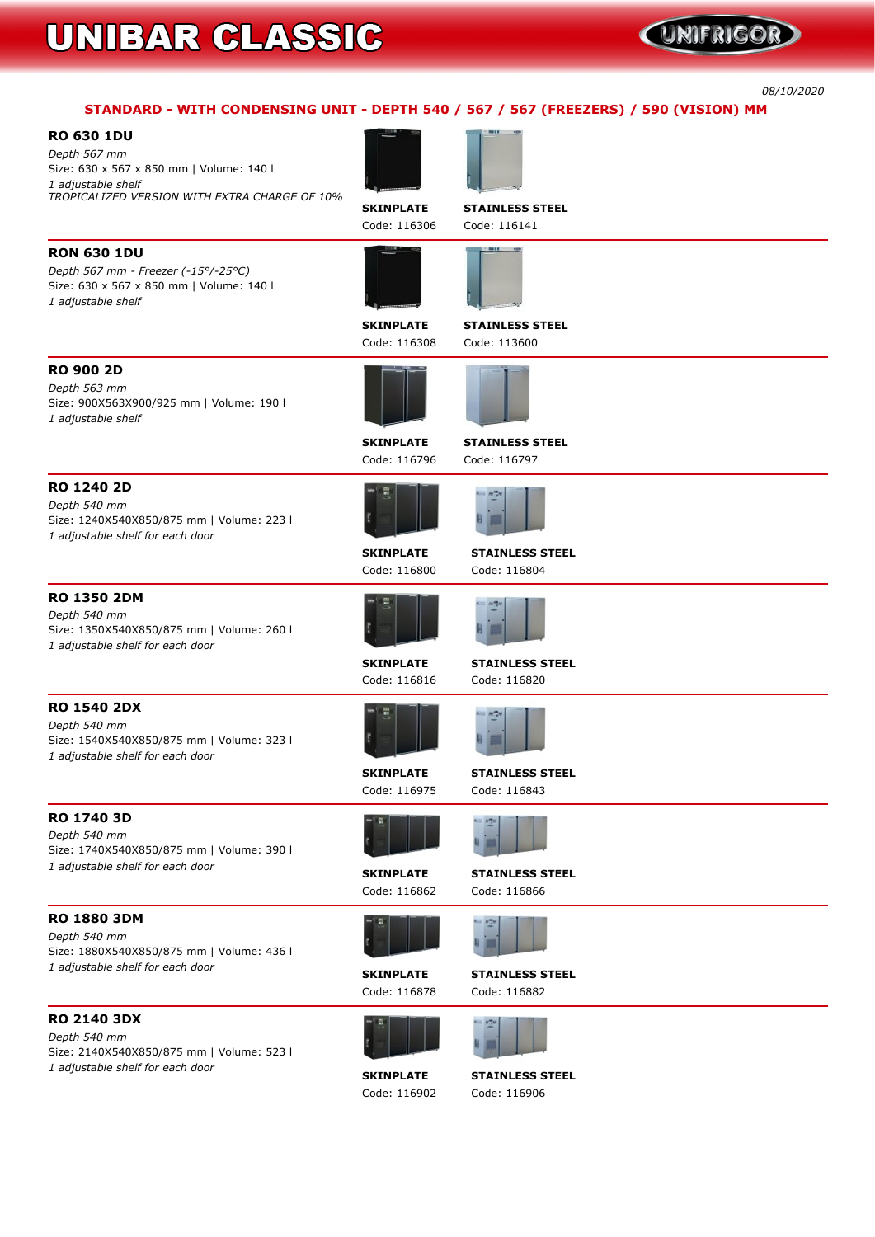### UNIFRIGOR

*08/10/2020*

### **STANDARD - WITH CONDENSING UNIT - DEPTH 540 / 567 / 567 (FREEZERS) / 590 (VISION) MM**

| <b>RO 630 1DU</b> |  |
|-------------------|--|
|-------------------|--|

*Depth 567 mm* **Size: 630 x 567 x 850 mm | Volume: 140 l** *1 adjustable shelf TROPICALIZED VERSION WITH EXTRA CHARGE OF 10%*



**SKINPLATE STAINLESS STEEL**





*Depth 567 mm - Freezer (-15°/-25°C)* **Size: 630 x 567 x 850 mm | Volume: 140 l** *1 adjustable shelf*

**SKINPLATE STAINLESS STEEL Code: 116308 Code: 113600**



**RO 900 2D** *Depth 563 mm*

**Size: 900X563X900/925 mm | Volume: 190 l**





*1 adjustable shelf*

**SKINPLATE STAINLESS STEEL**

**Code: 116796 Code: 116797**

**RO 1240 2D** *Depth 540 mm* **Size: 1240X540X850/875 mm | Volume: 223 l** *1 adjustable shelf for each door*





**RO 1350 2DM**

*Depth 540 mm* **Size: 1350X540X850/875 mm | Volume: 260 l** *1 adjustable shelf for each door*

**SKINPLATE STAINLESS STEEL**

**Code: 116816 Code: 116820**



**RO 1540 2DX** *Depth 540 mm*



**Size: 1540X540X850/875 mm | Volume: 323 l**

*1 adjustable shelf for each door*



**SKINPLATE STAINLESS STEEL Code: 116975 Code: 116843**





**RO 1740 3D** *Depth 540 mm*

**Size: 1740X540X850/875 mm | Volume: 390 l**



*1 adjustable shelf for each door*



**RO 1880 3DM**

*Depth 540 mm* **Size: 1880X540X850/875 mm | Volume: 436 l** *1 adjustable shelf for each door*

**SKINPLATE STAINLESS STEEL Code: 116878 Code: 116882**

#### **RO 2140 3DX**

*Depth 540 mm* **Size: 2140X540X850/875 mm | Volume: 523 l** *1 adjustable shelf for each door*



**SKINPLATE STAINLESS STEEL Code: 116902 Code: 116906**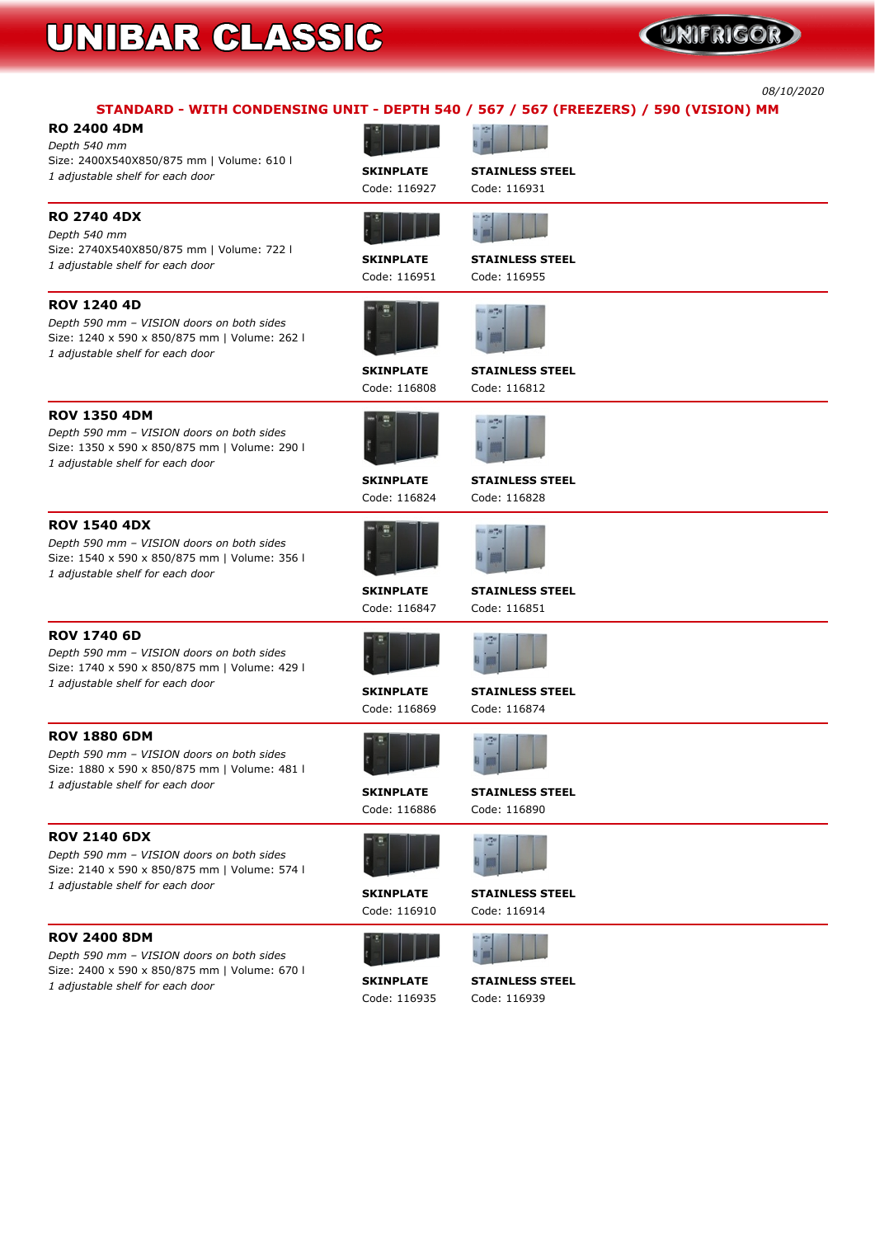### **QINIFRIGOR**

*08/10/2020*

|                                                                                                                                                       |                                  | STANDARD - WITH CONDENSING UNIT - DEPTH 540 / 567 / 567 (FREEZERS) / 590 (VISION) MM |
|-------------------------------------------------------------------------------------------------------------------------------------------------------|----------------------------------|--------------------------------------------------------------------------------------|
| <b>RO 2400 4DM</b><br>Depth 540 mm<br>Size: 2400X540X850/875 mm   Volume: 610 l                                                                       |                                  |                                                                                      |
| 1 adjustable shelf for each door                                                                                                                      | <b>SKINPLATE</b><br>Code: 116927 | <b>STAINLESS STEEL</b><br>Code: 116931                                               |
| <b>RO 2740 4DX</b><br>Depth 540 mm                                                                                                                    |                                  |                                                                                      |
| Size: 2740X540X850/875 mm   Volume: 722 l<br>1 adjustable shelf for each door                                                                         | <b>SKINPLATE</b><br>Code: 116951 | <b>STAINLESS STEEL</b><br>Code: 116955                                               |
| <b>ROV 1240 4D</b><br>Depth 590 mm - VISION doors on both sides<br>Size: 1240 x 590 x 850/875 mm   Volume: 262 l<br>1 adjustable shelf for each door  |                                  |                                                                                      |
|                                                                                                                                                       | <b>SKINPLATE</b><br>Code: 116808 | <b>STAINLESS STEEL</b><br>Code: 116812                                               |
| <b>ROV 1350 4DM</b><br>Depth 590 mm - VISION doors on both sides<br>Size: 1350 x 590 x 850/875 mm   Volume: 290 l<br>1 adjustable shelf for each door |                                  |                                                                                      |
|                                                                                                                                                       | <b>SKINPLATE</b><br>Code: 116824 | <b>STAINLESS STEEL</b><br>Code: 116828                                               |
| <b>ROV 1540 4DX</b><br>Depth 590 mm - VISION doors on both sides<br>Size: 1540 x 590 x 850/875 mm   Volume: 356 l<br>1 adjustable shelf for each door |                                  |                                                                                      |
|                                                                                                                                                       | <b>SKINPLATE</b><br>Code: 116847 | <b>STAINLESS STEEL</b><br>Code: 116851                                               |
| <b>ROV 1740 6D</b><br>Depth 590 mm - VISION doors on both sides<br>Size: 1740 x 590 x 850/875 mm   Volume: 429 l                                      |                                  |                                                                                      |
| 1 adjustable shelf for each door                                                                                                                      | <b>SKINPLATE</b><br>Code: 116869 | <b>STAINLESS STEEL</b><br>Code: 116874                                               |
| <b>ROV 1880 6DM</b><br>Depth 590 mm - VISION doors on both sides<br>Size: 1880 x 590 x 850/875 mm   Volume: 481 l                                     |                                  |                                                                                      |
| 1 adjustable shelf for each door                                                                                                                      | <b>SKINPLATE</b><br>Code: 116886 | <b>STAINLESS STEEL</b><br>Code: 116890                                               |
| <b>ROV 2140 6DX</b><br>Depth 590 mm - VISION doors on both sides<br>Size: 2140 x 590 x 850/875 mm   Volume: 574 l                                     |                                  |                                                                                      |
| 1 adjustable shelf for each door                                                                                                                      | <b>SKINPLATE</b><br>Code: 116910 | <b>STAINLESS STEEL</b><br>Code: 116914                                               |

#### **ROV 2400 8DM**

*Depth 590 mm – VISION doors on both sides* **Size: 2400 x 590 x 850/875 mm | Volume: 670 l** *<sup>1</sup> adjustable shelf for each door* **SKINPLATE STAINLESS STEEL**



**Code: 116935 Code: 116939**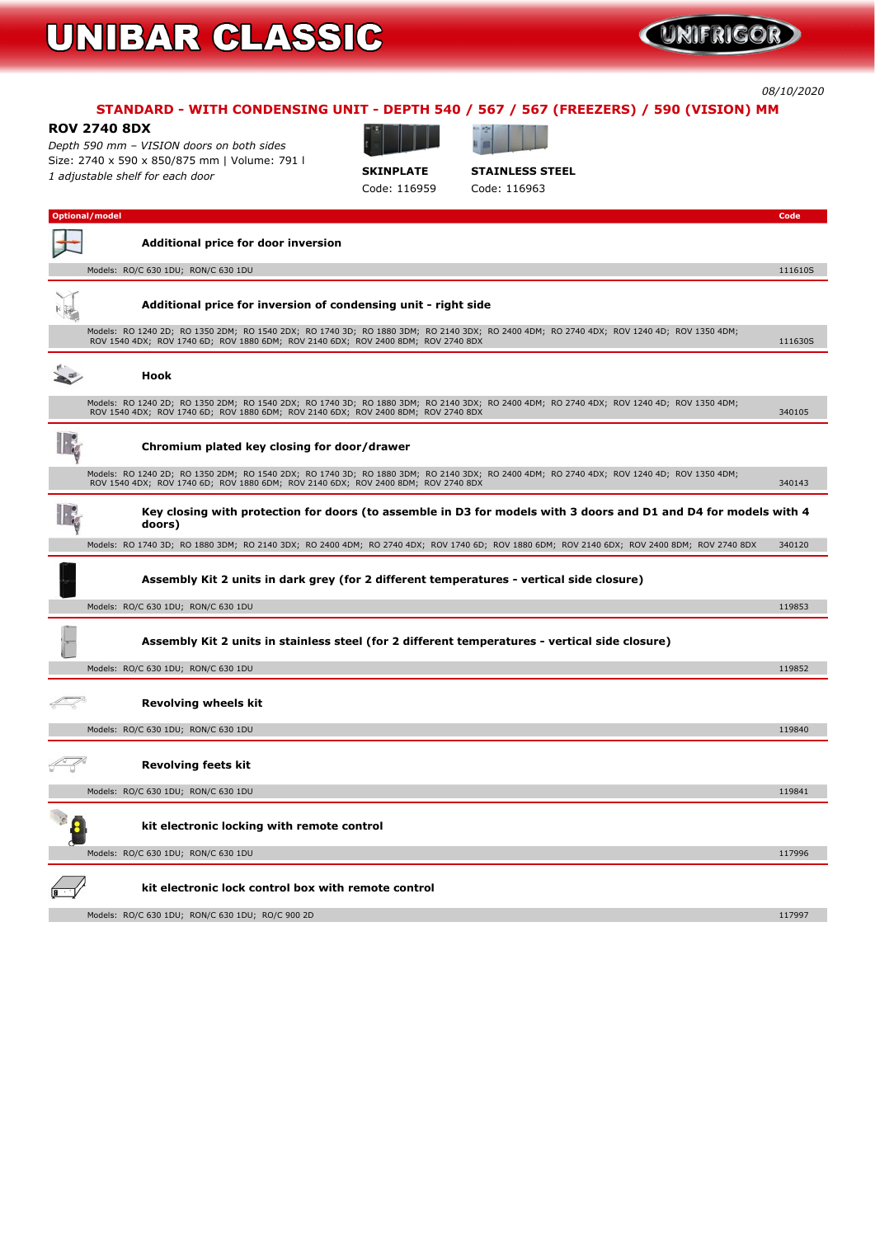#### *08/10/2020*

### **STANDARD - WITH CONDENSING UNIT - DEPTH 540 / 567 / 567 (FREEZERS) / 590 (VISION) MM**

#### **ROV 2740 8DX**

*Depth 590 mm – VISION doors on both sides* **Size: 2740 x 590 x 850/875 mm | Volume: 791 l** *<sup>1</sup> adjustable shelf for each door* **SKINPLATE STAINLESS STEEL**





**Code: 116959 Code: 116963**

| <b>Optional/model</b>                                                                                                                                                                                                         | Code    |
|-------------------------------------------------------------------------------------------------------------------------------------------------------------------------------------------------------------------------------|---------|
| <b>Additional price for door inversion</b>                                                                                                                                                                                    |         |
| Models: RO/C 630 1DU; RON/C 630 1DU                                                                                                                                                                                           | 111610S |
| Additional price for inversion of condensing unit - right side                                                                                                                                                                |         |
| Models: RO 1240 2D; RO 1350 2DM; RO 1540 2DX; RO 1740 3D; RO 1880 3DM; RO 2140 3DX; RO 2400 4DM; RO 2740 4DX; ROV 1240 4D; ROV 1350 4DM;<br>ROV 1540 4DX; ROV 1740 6D; ROV 1880 6DM; ROV 2140 6DX; ROV 2400 8DM; ROV 2740 8DX | 111630S |
| <b>Hook</b>                                                                                                                                                                                                                   |         |
| Models: RO 1240 2D; RO 1350 2DM; RO 1540 2DX; RO 1740 3D; RO 1880 3DM; RO 2140 3DX; RO 2400 4DM; RO 2740 4DX; ROV 1240 4D; ROV 1350 4DM;<br>ROV 1540 4DX; ROV 1740 6D; ROV 1880 6DM; ROV 2140 6DX; ROV 2400 8DM; ROV 2740 8DX | 340105  |
| Chromium plated key closing for door/drawer                                                                                                                                                                                   |         |
| Models: RO 1240 2D; RO 1350 2DM; RO 1540 2DX; RO 1740 3D; RO 1880 3DM; RO 2140 3DX; RO 2400 4DM; RO 2740 4DX; ROV 1240 4D; ROV 1350 4DM;<br>ROV 1540 4DX; ROV 1740 6D; ROV 1880 6DM; ROV 2140 6DX; ROV 2400 8DM; ROV 2740 8DX | 340143  |
| Key closing with protection for doors (to assemble in D3 for models with 3 doors and D1 and D4 for models with 4<br>doors)                                                                                                    |         |
| Models: RO 1740 3D; RO 1880 3DM; RO 2140 3DX; RO 2400 4DM; RO 2740 4DX; ROV 1740 6D; ROV 1880 6DM; ROV 2140 6DX; ROV 2400 8DM; ROV 2740 8DX                                                                                   | 340120  |
| Assembly Kit 2 units in dark grey (for 2 different temperatures - vertical side closure)                                                                                                                                      |         |
| Models: RO/C 630 1DU; RON/C 630 1DU                                                                                                                                                                                           | 119853  |
| Assembly Kit 2 units in stainless steel (for 2 different temperatures - vertical side closure)                                                                                                                                |         |
| Models: RO/C 630 1DU; RON/C 630 1DU                                                                                                                                                                                           | 119852  |
| <b>Revolving wheels kit</b>                                                                                                                                                                                                   |         |
| Models: RO/C 630 1DU; RON/C 630 1DU                                                                                                                                                                                           | 119840  |
| <b>Revolving feets kit</b>                                                                                                                                                                                                    |         |
| Models: RO/C 630 1DU; RON/C 630 1DU                                                                                                                                                                                           | 119841  |
| kit electronic locking with remote control                                                                                                                                                                                    |         |
| Models: RO/C 630 1DU; RON/C 630 1DU                                                                                                                                                                                           | 117996  |
| kit electronic lock control box with remote control                                                                                                                                                                           |         |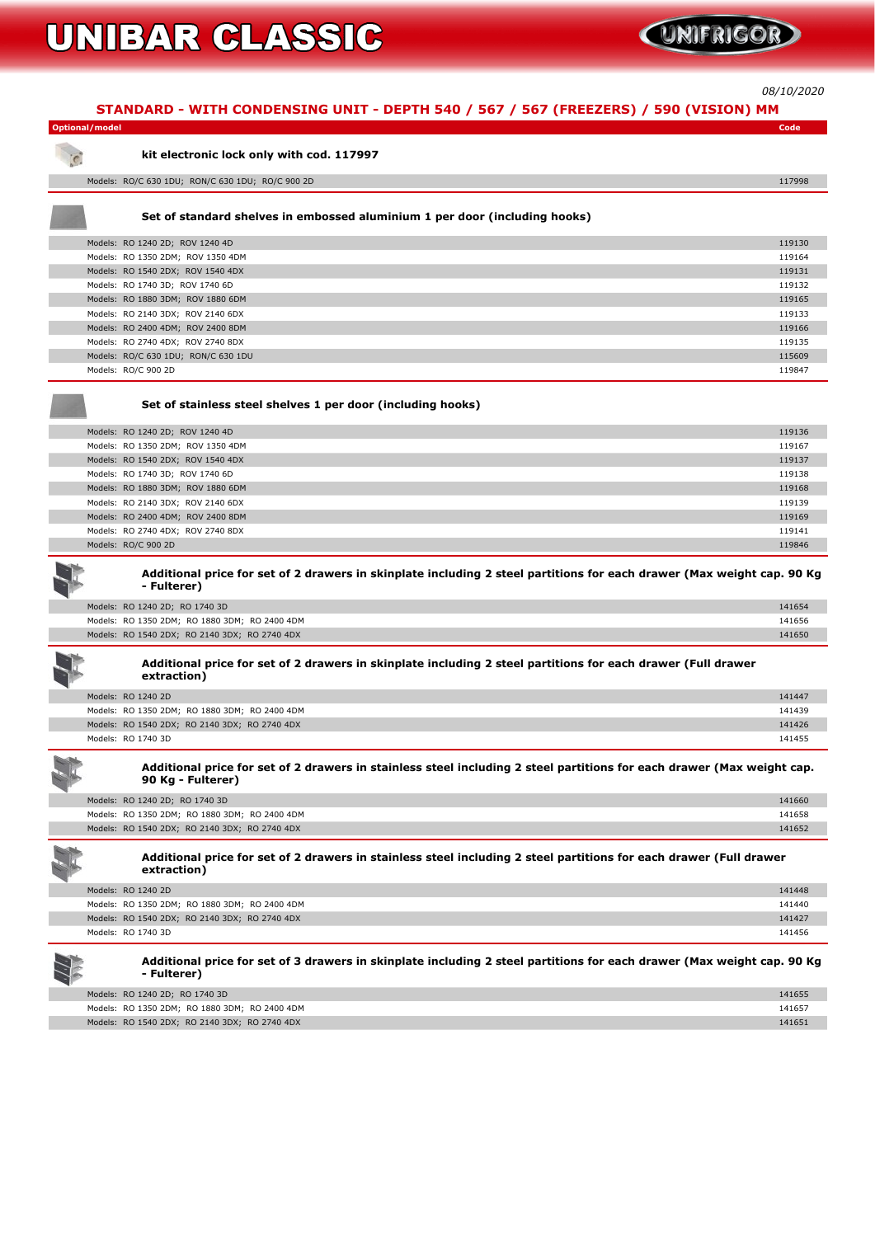

*08/10/2020*

**STANDARD - WITH CONDENSING UNIT - DEPTH 540 / 567 / 567 (FREEZERS) / 590 (VISION) MM**

| <b>Optional/model</b>                                                                                                                       | Code   |
|---------------------------------------------------------------------------------------------------------------------------------------------|--------|
| kit electronic lock only with cod. 117997                                                                                                   |        |
| Models: RO/C 630 1DU; RON/C 630 1DU; RO/C 900 2D                                                                                            | 117998 |
| Set of standard shelves in embossed aluminium 1 per door (including hooks)                                                                  |        |
| Models: RO 1240 2D; ROV 1240 4D                                                                                                             | 119130 |
| Models: RO 1350 2DM; ROV 1350 4DM                                                                                                           | 119164 |
| Models: RO 1540 2DX; ROV 1540 4DX                                                                                                           | 119131 |
| Models: RO 1740 3D; ROV 1740 6D                                                                                                             | 119132 |
| Models: RO 1880 3DM; ROV 1880 6DM                                                                                                           | 119165 |
| Models: RO 2140 3DX; ROV 2140 6DX                                                                                                           | 119133 |
| Models: RO 2400 4DM; ROV 2400 8DM                                                                                                           | 119166 |
| Models: RO 2740 4DX; ROV 2740 8DX                                                                                                           | 119135 |
| Models: RO/C 630 1DU; RON/C 630 1DU                                                                                                         | 115609 |
| Models: RO/C 900 2D                                                                                                                         | 119847 |
| Set of stainless steel shelves 1 per door (including hooks)                                                                                 |        |
| Models: RO 1240 2D; ROV 1240 4D                                                                                                             | 119136 |
| Models: RO 1350 2DM; ROV 1350 4DM                                                                                                           | 119167 |
| Models: RO 1540 2DX; ROV 1540 4DX                                                                                                           | 119137 |
| Models: RO 1740 3D; ROV 1740 6D                                                                                                             | 119138 |
| Models: RO 1880 3DM; ROV 1880 6DM                                                                                                           | 119168 |
| Models: RO 2140 3DX; ROV 2140 6DX                                                                                                           | 119139 |
| Models: RO 2400 4DM; ROV 2400 8DM                                                                                                           | 119169 |
| Models: RO 2740 4DX; ROV 2740 8DX                                                                                                           | 119141 |
| Models: RO/C 900 2D                                                                                                                         | 119846 |
| Additional price for set of 2 drawers in skinplate including 2 steel partitions for each drawer (Max weight cap. 90 Kg<br>- Fulterer)       |        |
| Models: RO 1240 2D; RO 1740 3D                                                                                                              | 141654 |
| Models: RO 1350 2DM; RO 1880 3DM; RO 2400 4DM                                                                                               | 141656 |
| Models: RO 1540 2DX; RO 2140 3DX; RO 2740 4DX                                                                                               | 141650 |
| Additional price for set of 2 drawers in skinplate including 2 steel partitions for each drawer (Full drawer<br>extraction)                 |        |
| Models: RO 1240 2D                                                                                                                          | 141447 |
| Models: RO 1350 2DM; RO 1880 3DM; RO 2400 4DM                                                                                               | 141439 |
| Models: RO 1540 2DX; RO 2140 3DX; RO 2740 4DX                                                                                               | 141426 |
| Models: RO 1740 3D                                                                                                                          | 141455 |
| Additional price for set of 2 drawers in stainless steel including 2 steel partitions for each drawer (Max weight cap.<br>90 Kg - Fulterer) |        |
| Models: RO 1240 2D; RO 1740 3D                                                                                                              | 141660 |
| Models: RO 1350 2DM; RO 1880 3DM; RO 2400 4DM                                                                                               | 141658 |
| Models: RO 1540 2DX; RO 2140 3DX; RO 2740 4DX                                                                                               | 141652 |



Additional price for set of 2 drawers in stainless steel including 2 steel partitions for each drawer (Full drawer **extraction)**

Additional price for set of 3 drawers in skinplate including 2 steel partitions for each drawer (Max weight cap. 90 Kg **- Fulterer)**

| Models: RO 1240 2D                            | 141448 |
|-----------------------------------------------|--------|
| Models: RO 1350 2DM; RO 1880 3DM; RO 2400 4DM | 141440 |
| Models: RO 1540 2DX; RO 2140 3DX; RO 2740 4DX | 141427 |
| Models: RO 1740 3D                            | 141456 |



| Models: RO 1240 2D; RO 1740 3D                | 141655 |
|-----------------------------------------------|--------|
| Models: RO 1350 2DM; RO 1880 3DM; RO 2400 4DM | 141657 |
| Models: RO 1540 2DX; RO 2140 3DX; RO 2740 4DX | 141651 |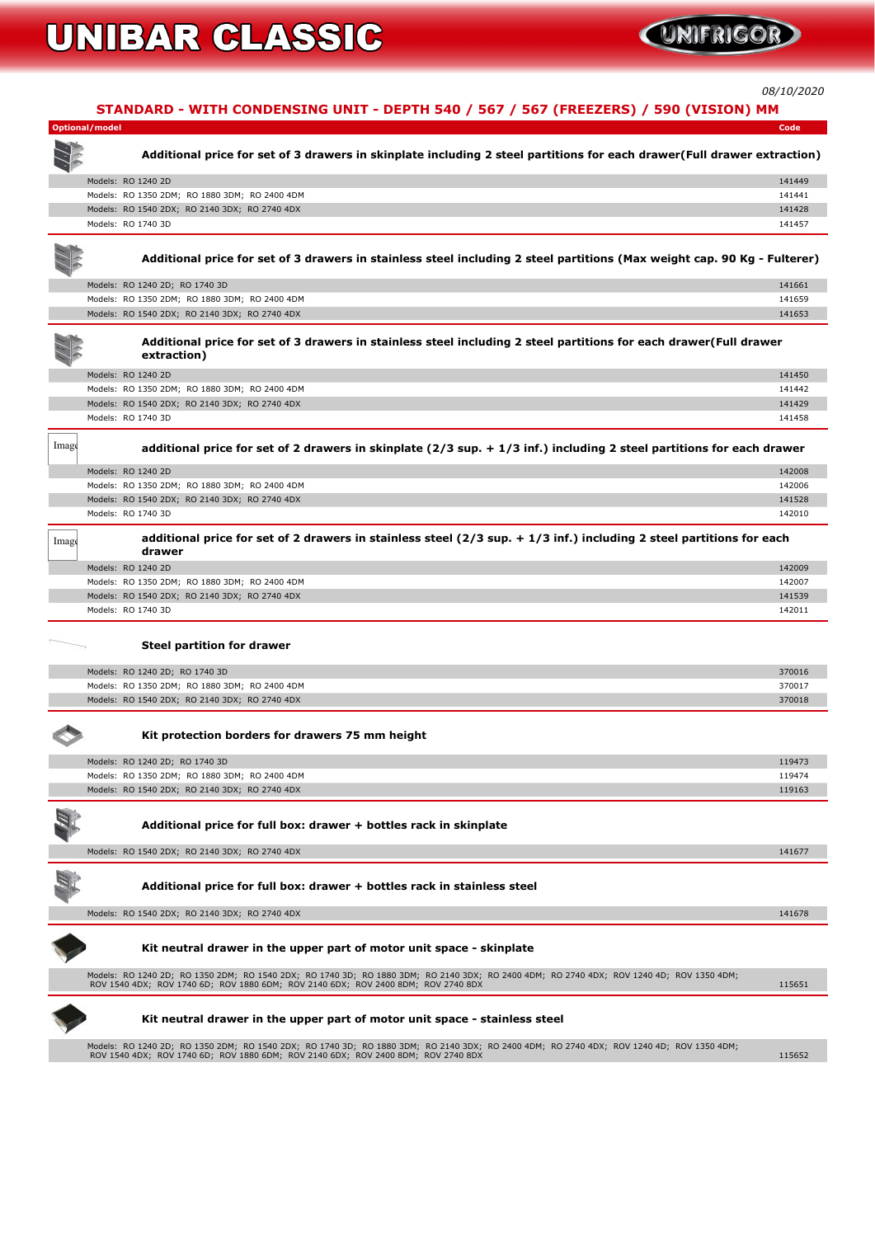*08/10/2020*



#### **Additional price for full box: drawer + bottles rack in stainless steel**

**Models: RO 1540 2DX; RO 2140 3DX; RO 2740 4DX 141678**



#### **Kit neutral drawer in the upper part of motor unit space - skinplate**

**Models: RO 1240 2D; RO 1350 2DM; RO 1540 2DX; RO 1740 3D; RO 1880 3DM; RO 2140 3DX; RO 2400 4DM; RO 2740 4DX; ROV 1240 4D; ROV 1350 4DM; ROV 1540 4DX; ROV 1740 6D; ROV 1880 6DM; ROV 2140 6DX; ROV 2400 8DM; ROV 2740 8DX 115651**



#### **Kit neutral drawer in the upper part of motor unit space - stainless steel**

**Models: RO 1240 2D; RO 1350 2DM; RO 1540 2DX; RO 1740 3D; RO 1880 3DM; RO 2140 3DX; RO 2400 4DM; RO 2740 4DX; ROV 1240 4D; ROV 1350 4DM; ROV 1540 4DX; ROV 1740 6D; ROV 1880 6DM; ROV 2140 6DX; ROV 2400 8DM; ROV 2740 8DX 115652**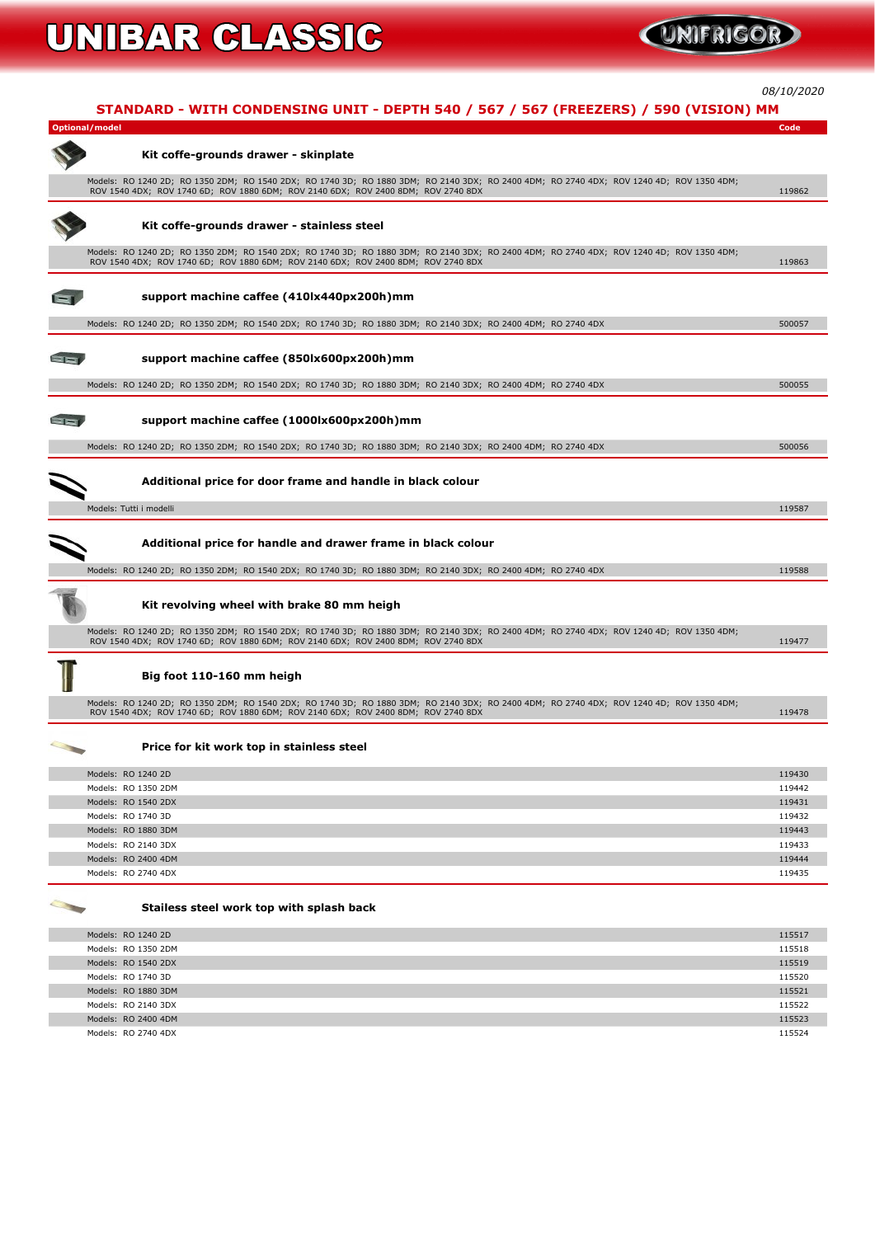*08/10/2020*

|       | STANDARD - WITH CONDENSING UNIT - DEPTH 540 / 567 / 567 (FREEZERS) / 590 (VISION) MM                                                                                                                                          |        |
|-------|-------------------------------------------------------------------------------------------------------------------------------------------------------------------------------------------------------------------------------|--------|
|       | <b>Optional/model</b>                                                                                                                                                                                                         | Code   |
|       | Kit coffe-grounds drawer - skinplate                                                                                                                                                                                          |        |
|       | Models: RO 1240 2D; RO 1350 2DM; RO 1540 2DX; RO 1740 3D; RO 1880 3DM; RO 2140 3DX; RO 2400 4DM; RO 2740 4DX; ROV 1240 4D; ROV 1350 4DM;<br>ROV 1540 4DX; ROV 1740 6D; ROV 1880 6DM; ROV 2140 6DX; ROV 2400 8DM; ROV 2740 8DX | 119862 |
|       | Kit coffe-grounds drawer - stainless steel                                                                                                                                                                                    |        |
|       | Models: RO 1240 2D; RO 1350 2DM; RO 1540 2DX; RO 1740 3D; RO 1880 3DM; RO 2140 3DX; RO 2400 4DM; RO 2740 4DX; ROV 1240 4D; ROV 1350 4DM;<br>ROV 1540 4DX; ROV 1740 6D; ROV 1880 6DM; ROV 2140 6DX; ROV 2400 8DM; ROV 2740 8DX | 119863 |
|       | support machine caffee (410lx440px200h)mm                                                                                                                                                                                     |        |
|       | Models: RO 1240 2D; RO 1350 2DM; RO 1540 2DX; RO 1740 3D; RO 1880 3DM; RO 2140 3DX; RO 2400 4DM; RO 2740 4DX                                                                                                                  | 500057 |
| $- -$ | support machine caffee (850lx600px200h)mm                                                                                                                                                                                     |        |
|       | Models: RO 1240 2D; RO 1350 2DM; RO 1540 2DX; RO 1740 3D; RO 1880 3DM; RO 2140 3DX; RO 2400 4DM; RO 2740 4DX                                                                                                                  | 500055 |
|       | support machine caffee (1000lx600px200h)mm                                                                                                                                                                                    |        |
|       | Models: RO 1240 2D; RO 1350 2DM; RO 1540 2DX; RO 1740 3D; RO 1880 3DM; RO 2140 3DX; RO 2400 4DM; RO 2740 4DX                                                                                                                  | 500056 |
|       | Additional price for door frame and handle in black colour                                                                                                                                                                    |        |
|       | Models: Tutti i modelli                                                                                                                                                                                                       | 119587 |
|       | Additional price for handle and drawer frame in black colour                                                                                                                                                                  |        |
|       | Models: RO 1240 2D; RO 1350 2DM; RO 1540 2DX; RO 1740 3D; RO 1880 3DM; RO 2140 3DX; RO 2400 4DM; RO 2740 4DX                                                                                                                  | 119588 |
|       | Kit revolving wheel with brake 80 mm heigh                                                                                                                                                                                    |        |
|       | Models: RO 1240 2D; RO 1350 2DM; RO 1540 2DX; RO 1740 3D; RO 1880 3DM; RO 2140 3DX; RO 2400 4DM; RO 2740 4DX; ROV 1240 4D; ROV 1350 4DM;<br>ROV 1540 4DX; ROV 1740 6D; ROV 1880 6DM; ROV 2140 6DX; ROV 2400 8DM; ROV 2740 8DX | 119477 |
|       | Big foot 110-160 mm heigh                                                                                                                                                                                                     |        |
|       | Models: RO 1240 2D; RO 1350 2DM; RO 1540 2DX; RO 1740 3D; RO 1880 3DM; RO 2140 3DX; RO 2400 4DM; RO 2740 4DX; ROV 1240 4D; ROV 1350 4DM;<br>ROV 1540 4DX; ROV 1740 6D; ROV 1880 6DM; ROV 2140 6DX; ROV 2400 8DM; ROV 2740 8DX | 119478 |
|       | Price for kit work top in stainless steel                                                                                                                                                                                     |        |
|       | Models: RO 1240 2D                                                                                                                                                                                                            | 119430 |
|       | Modeler, BO 12E0 2DM                                                                                                                                                                                                          | 110117 |

| Models: RO 1240 2D  | 119430 |
|---------------------|--------|
| Models: RO 1350 2DM | 119442 |
| Models: RO 1540 2DX | 119431 |
| Models: RO 1740 3D  | 119432 |
| Models: RO 1880 3DM | 119443 |
| Models: RO 2140 3DX | 119433 |
| Models: RO 2400 4DM | 119444 |
| Models: RO 2740 4DX | 119435 |
|                     |        |



#### **Stailess steel work top with splash back**

| Models: RO 1240 2D  | 115517 |
|---------------------|--------|
| Models: RO 1350 2DM | 115518 |
| Models: RO 1540 2DX | 115519 |
| Models: RO 1740 3D  | 115520 |
| Models: RO 1880 3DM | 115521 |
| Models: RO 2140 3DX | 115522 |
| Models: RO 2400 4DM | 115523 |
| Models: RO 2740 4DX | 115524 |